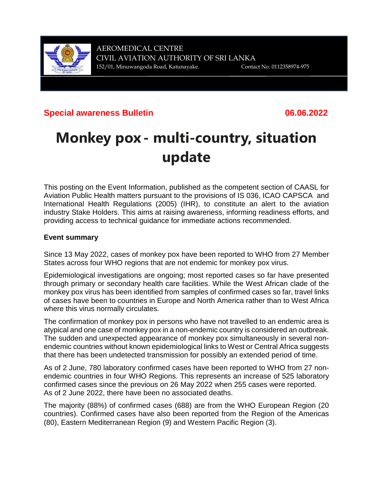

# **Special awareness Bulletin 06.06.2022**

# **Monkey pox - multi-country, situation update**

This posting on the Event Information, published as the competent section of CAASL for Aviation Public Health matters pursuant to the provisions of IS 036, ICAO CAPSCA and International Health Regulations (2005) (IHR), to constitute an alert to the aviation industry Stake Holders. This aims at raising awareness, informing readiness efforts, and providing access to technical guidance for immediate actions recommended.

# **Event summary**

Since 13 May 2022, cases of monkey pox have been reported to WHO from 27 Member States across four WHO regions that are not endemic for monkey pox virus.

Epidemiological investigations are ongoing; most reported cases so far have presented through primary or secondary health care facilities. While the West African clade of the monkey pox virus has been identified from samples of confirmed cases so far, travel links of cases have been to countries in Europe and North America rather than to West Africa where this virus normally circulates.

The confirmation of monkey pox in persons who have not travelled to an endemic area is atypical and one case of monkey pox in a non-endemic country is considered an outbreak. The sudden and unexpected appearance of monkey pox simultaneously in several nonendemic countries without known epidemiological links to West or Central Africa suggests that there has been undetected transmission for possibly an extended period of time.

As of 2 June, 780 laboratory confirmed cases have been reported to WHO from 27 nonendemic countries in four WHO Regions. This represents an increase of 525 laboratory confirmed cases since the previous on 26 May 2022 when 255 cases were reported. As of 2 June 2022, there have been no associated deaths.

The majority (88%) of confirmed cases (688) are from the WHO European Region (20 countries). Confirmed cases have also been reported from the Region of the Americas (80), Eastern Mediterranean Region (9) and Western Pacific Region (3).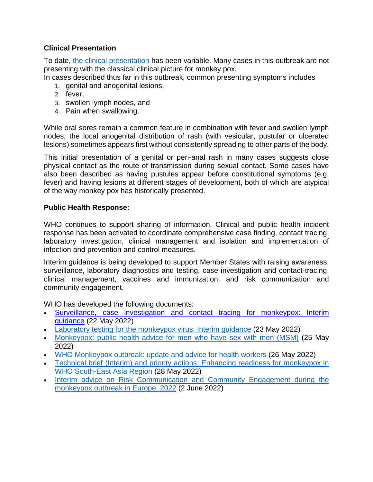## **Clinical Presentation**

To date, the clinical [presentation](https://www.who.int/news-room/fact-sheets/detail/monkeypox) has been variable. Many cases in this outbreak are not presenting with the classical clinical picture for monkey pox.

In cases described thus far in this outbreak, common presenting symptoms includes

- 1. genital and anogenital lesions,
- 2. fever,
- 3. swollen lymph nodes, and
- 4. Pain when swallowing.

While oral sores remain a common feature in combination with fever and swollen lymph nodes, the local anogenital distribution of rash (with vesicular, pustular or ulcerated lesions) sometimes appears first without consistently spreading to other parts of the body.

This initial presentation of a genital or peri-anal rash in many cases suggests close physical contact as the route of transmission during sexual contact. Some cases have also been described as having pustules appear before constitutional symptoms (e.g. fever) and having lesions at different stages of development, both of which are atypical of the way monkey pox has historically presented.

#### **Public Health Response:**

WHO continues to support sharing of information. Clinical and public health incident response has been activated to coordinate comprehensive case finding, contact tracing, laboratory investigation, clinical management and isolation and implementation of infection and prevention and control measures.

Interim guidance is being developed to support Member States with raising awareness, surveillance, laboratory diagnostics and testing, case investigation and contact-tracing, clinical management, vaccines and immunization, and risk communication and community engagement.

WHO has developed the following documents:

- [Surveillance,](https://www.who.int/publications/i/item/WHO-MPX-surveillance-2022.1) case investigation and contact tracing for monkeypox: Interim [guidance](https://www.who.int/publications/i/item/WHO-MPX-surveillance-2022.1) (22 May 2022)
- Laboratory testing for the [monkeypox](https://www.who.int/publications-detail-redirect/WHO-MPX-laboratory-2022.1) virus: Interim guidance (23 May 2022)
- [Monkeypox:](https://www.who.int/news/item/25-05-2022-monkeypox--public-health-advice-for-gay--bisexual-and-other-men-who-have-sex-with-men) public health advice for men who have sex with men (MSM) (25 May 2022)
- WHO [Monkeypox](https://www.who.int/publications/m/item/update-77-monkeypox-outbreak) outbreak: update and advice for health workers (26 May 2022)
- Technical brief (Interim) and priority actions: Enhancing readiness for [monkeypox](https://cdn.who.int/media/docs/default-source/searo/whe/monkeypox/searo-mp-techbrief_priority-actions_300522.pdf?sfvrsn=ae7be762_1) in WHO [South-East](https://cdn.who.int/media/docs/default-source/searo/whe/monkeypox/searo-mp-techbrief_priority-actions_300522.pdf?sfvrsn=ae7be762_1) Asia Region (28 May 2022)
- Interim advice on Risk [Communication](https://www.euro.who.int/en/health-topics/communicable-diseases/monkeypox-virus/publications,-tools,-technical-guidance/interim-advice-on-risk-communication-and-community-engagement-during-the-monkeypox-outbreak-in-europe,-2022-2022) and Community Engagement during the [monkeypox](https://www.euro.who.int/en/health-topics/communicable-diseases/monkeypox-virus/publications,-tools,-technical-guidance/interim-advice-on-risk-communication-and-community-engagement-during-the-monkeypox-outbreak-in-europe,-2022-2022) outbreak in Europe, 2022 (2 June 2022)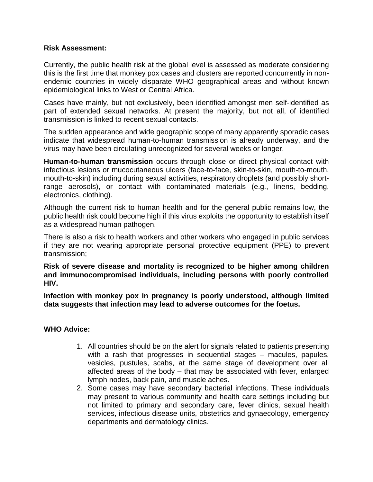#### **Risk Assessment:**

Currently, the public health risk at the global level is assessed as moderate considering this is the first time that monkey pox cases and clusters are reported concurrently in nonendemic countries in widely disparate WHO geographical areas and without known epidemiological links to West or Central Africa.

Cases have mainly, but not exclusively, been identified amongst men self-identified as part of extended sexual networks. At present the majority, but not all, of identified transmission is linked to recent sexual contacts.

The sudden appearance and wide geographic scope of many apparently sporadic cases indicate that widespread human-to-human transmission is already underway, and the virus may have been circulating unrecognized for several weeks or longer.

**Human-to-human transmission** occurs through close or direct physical contact with infectious lesions or mucocutaneous ulcers (face-to-face, skin-to-skin, mouth-to-mouth, mouth-to-skin) including during sexual activities, respiratory droplets (and possibly shortrange aerosols), or contact with contaminated materials (e.g., linens, bedding, electronics, clothing).

Although the current risk to human health and for the general public remains low, the public health risk could become high if this virus exploits the opportunity to establish itself as a widespread human pathogen.

There is also a risk to health workers and other workers who engaged in public services if they are not wearing appropriate personal protective equipment (PPE) to prevent transmission;

**Risk of severe disease and mortality is recognized to be higher among children and immunocompromised individuals, including persons with poorly controlled HIV.**

**Infection with monkey pox in pregnancy is poorly understood, although limited data suggests that infection may lead to adverse outcomes for the foetus.**

#### **WHO Advice:**

- 1. All countries should be on the alert for signals related to patients presenting with a rash that progresses in sequential stages – macules, papules, vesicles, pustules, scabs, at the same stage of development over all affected areas of the body – that may be associated with fever, enlarged lymph nodes, back pain, and muscle aches.
- 2. Some cases may have secondary bacterial infections. These individuals may present to various community and health care settings including but not limited to primary and secondary care, fever clinics, sexual health services, infectious disease units, obstetrics and gynaecology, emergency departments and dermatology clinics.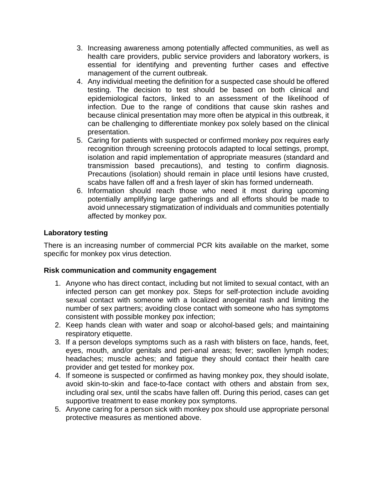- 3. Increasing awareness among potentially affected communities, as well as health care providers, public service providers and laboratory workers, is essential for identifying and preventing further cases and effective management of the current outbreak.
- 4. Any individual meeting the definition for a suspected case should be offered testing. The decision to test should be based on both clinical and epidemiological factors, linked to an assessment of the likelihood of infection. Due to the range of conditions that cause skin rashes and because clinical presentation may more often be atypical in this outbreak, it can be challenging to differentiate monkey pox solely based on the clinical presentation.
- 5. Caring for patients with suspected or confirmed monkey pox requires early recognition through screening protocols adapted to local settings, prompt, isolation and rapid implementation of appropriate measures (standard and transmission based precautions), and testing to confirm diagnosis. Precautions (isolation) should remain in place until lesions have crusted, scabs have fallen off and a fresh layer of skin has formed underneath.
- 6. Information should reach those who need it most during upcoming potentially amplifying large gatherings and all efforts should be made to avoid unnecessary stigmatization of individuals and communities potentially affected by monkey pox.

# **Laboratory testing**

There is an increasing number of commercial PCR kits available on the market, some specific for monkey pox virus detection.

#### **Risk communication and community engagement**

- 1. Anyone who has direct contact, including but not limited to sexual contact, with an infected person can get monkey pox. Steps for self-protection include avoiding sexual contact with someone with a localized anogenital rash and limiting the number of sex partners; avoiding close contact with someone who has symptoms consistent with possible monkey pox infection;
- 2. Keep hands clean with water and soap or alcohol-based gels; and maintaining respiratory etiquette.
- 3. If a person develops symptoms such as a rash with blisters on face, hands, feet, eyes, mouth, and/or genitals and peri-anal areas; fever; swollen lymph nodes; headaches; muscle aches; and fatigue they should contact their health care provider and get tested for monkey pox.
- 4. If someone is suspected or confirmed as having monkey pox, they should isolate, avoid skin-to-skin and face-to-face contact with others and abstain from sex, including oral sex, until the scabs have fallen off. During this period, cases can get supportive treatment to ease monkey pox symptoms.
- 5. Anyone caring for a person sick with monkey pox should use appropriate personal protective measures as mentioned above.